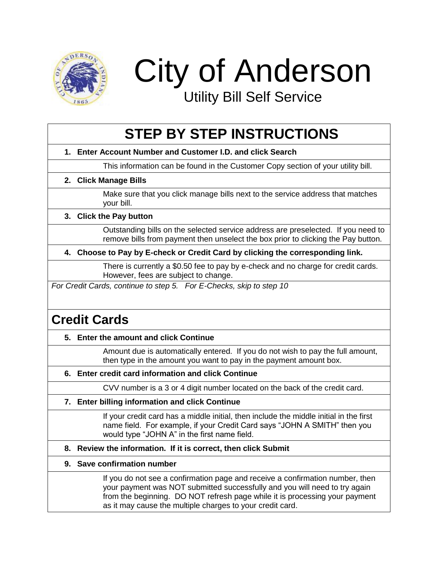

City of Anderson

Utility Bill Self Service

# **STEP BY STEP INSTRUCTIONS**

**1. Enter Account Number and Customer I.D. and click Search**

This information can be found in the Customer Copy section of your utility bill.

**2. Click Manage Bills**

Make sure that you click manage bills next to the service address that matches your bill.

# **3. Click the Pay button**

Outstanding bills on the selected service address are preselected. If you need to remove bills from payment then unselect the box prior to clicking the Pay button.

**4. Choose to Pay by E-check or Credit Card by clicking the corresponding link.** 

There is currently a \$0.50 fee to pay by e-check and no charge for credit cards. However, fees are subject to change.

*For Credit Cards, continue to step 5. For E-Checks, skip to step 10*

# **Credit Cards**

# **5. Enter the amount and click Continue**

Amount due is automatically entered. If you do not wish to pay the full amount, then type in the amount you want to pay in the payment amount box.

**6. Enter credit card information and click Continue**

CVV number is a 3 or 4 digit number located on the back of the credit card.

**7. Enter billing information and click Continue**

If your credit card has a middle initial, then include the middle initial in the first name field. For example, if your Credit Card says "JOHN A SMITH" then you would type "JOHN A" in the first name field.

#### **8. Review the information. If it is correct, then click Submit**

#### **9. Save confirmation number**

If you do not see a confirmation page and receive a confirmation number, then your payment was NOT submitted successfully and you will need to try again from the beginning. DO NOT refresh page while it is processing your payment as it may cause the multiple charges to your credit card.